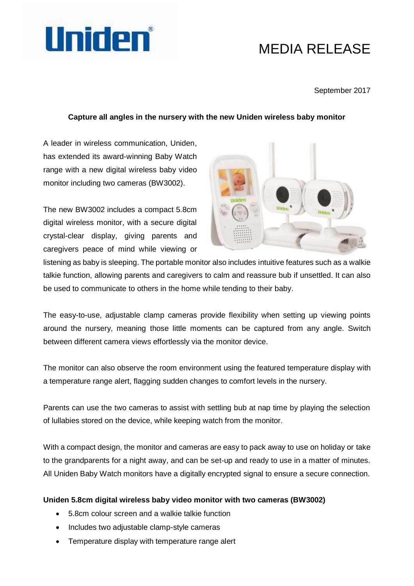

# MEDIA RELEASE

### September 2017

# **Capture all angles in the nursery with the new Uniden wireless baby monitor**

A leader in wireless communication, Uniden, has extended its award-winning Baby Watch range with a new digital wireless baby video monitor including two cameras (BW3002).

The new BW3002 includes a compact 5.8cm digital wireless monitor, with a secure digital crystal-clear display, giving parents and caregivers peace of mind while viewing or



listening as baby is sleeping. The portable monitor also includes intuitive features such as a walkie talkie function, allowing parents and caregivers to calm and reassure bub if unsettled. It can also be used to communicate to others in the home while tending to their baby.

The easy-to-use, adjustable clamp cameras provide flexibility when setting up viewing points around the nursery, meaning those little moments can be captured from any angle. Switch between different camera views effortlessly via the monitor device.

The monitor can also observe the room environment using the featured temperature display with a temperature range alert, flagging sudden changes to comfort levels in the nursery.

Parents can use the two cameras to assist with settling bub at nap time by playing the selection of lullabies stored on the device, while keeping watch from the monitor.

With a compact design, the monitor and cameras are easy to pack away to use on holiday or take to the grandparents for a night away, and can be set-up and ready to use in a matter of minutes. All Uniden Baby Watch monitors have a digitally encrypted signal to ensure a secure connection.

### **Uniden 5.8cm digital wireless baby video monitor with two cameras (BW3002)**

- 5.8cm colour screen and a walkie talkie function
- Includes two adjustable clamp-style cameras
- Temperature display with temperature range alert